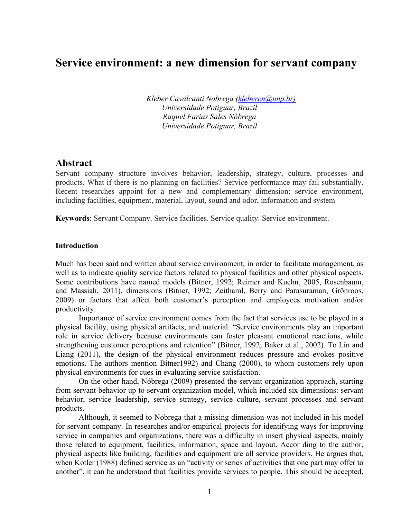# **Service environment: a new dimension for servant company**

*Kleber Cavalcanti Nobrega (klebercn@unp.br) Universidade Potiguar, Brazil Raquel Farias Sales Nóbrega Universidade Potiguar, Brazil*

## **Abstract**

Servant company structure involves behavior, leadership, strategy, culture, processes and products. What if there is no planning on facilities? Service performance may fail substantially. Recent researches appoint for a new and complementary dimension: service environment, including facilities, equipment, material, layout, sound and odor, information and system

**Keywords**: Servant Company. Service facilities. Service quality. Service environment.

#### **Introduction**

Much has been said and written about service environment, in order to facilitate management, as well as to indicate quality service factors related to physical facilities and other physical aspects. Some contributions have named models (Bitner, 1992; Reimer and Kuehn, 2005, Rosenbaum, and Massiah, 2011), dimensions (Bitner, 1992; Zeithaml, Berry and Parasuraman, Grönroos, 2009) or factors that affect both customer's perception and employees motivation and/or productivity.

Importance of service environment comes from the fact that services use to be played in a physical facility, using physical artifacts, and material. "Service environments play an important role in service delivery because environments can foster pleasant emotional reactions, while strengthening customer perceptions and retention" (Bitner, 1992; Baker et al., 2002). To Lin and Liang (2011), the design of the physical environment reduces pressure and evokes positive emotions. The authors mention Bitner1992) and Chang (2000), to whom customers rely upon physical environments for cues in evaluating service satisfaction.

On the other hand, Nóbrega (2009) presented the servant organization approach, starting from servant behavior up to servant organization model, which included six dimensions: servant behavior, service leadership, service strategy, service culture, servant processes and servant products.

Although, it seemed to Nobrega that a missing dimension was not included in his model for servant company. In researches and/or empirical projects for identifying ways for improving service in companies and organizations, there was a difficulty in insert physical aspects, mainly those related to equipment, facilities, information, space and layout. Accor ding to the author, physical aspects like building, facilities and equipment are all service providers. He argues that, when Kotler (1988) defined service as an "activity or series of activities that one part may offer to another", it can be understood that facilities provide services to people. This should be accepted,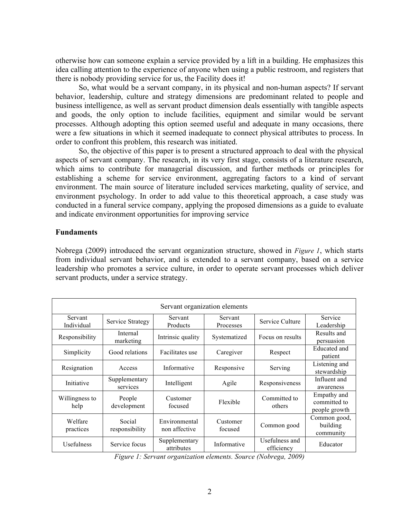otherwise how can someone explain a service provided by a lift in a building. He emphasizes this idea calling attention to the experience of anyone when using a public restroom, and registers that there is nobody providing service for us, the Facility does it!

So, what would be a servant company, in its physical and non-human aspects? If servant behavior, leadership, culture and strategy dimensions are predominant related to people and business intelligence, as well as servant product dimension deals essentially with tangible aspects and goods, the only option to include facilities, equipment and similar would be servant processes. Although adopting this option seemed useful and adequate in many occasions, there were a few situations in which it seemed inadequate to connect physical attributes to process. In order to confront this problem, this research was initiated.

So, the objective of this paper is to present a structured approach to deal with the physical aspects of servant company. The research, in its very first stage, consists of a literature research, which aims to contribute for managerial discussion, and further methods or principles for establishing a scheme for service environment, aggregating factors to a kind of servant environment. The main source of literature included services marketing, quality of service, and environment psychology. In order to add value to this theoretical approach, a case study was conducted in a funeral service company, applying the proposed dimensions as a guide to evaluate and indicate environment opportunities for improving service

### **Fundaments**

Nobrega (2009) introduced the servant organization structure, showed in *Figure 1*, which starts from individual servant behavior, and is extended to a servant company, based on a service leadership who promotes a service culture, in order to operate servant processes which deliver servant products, under a service strategy.

| Servant organization elements |                           |                                |                      |                              |                                              |  |  |  |
|-------------------------------|---------------------------|--------------------------------|----------------------|------------------------------|----------------------------------------------|--|--|--|
| Servant<br>Individual         | Service Strategy          | Servant<br>Products            | Servant<br>Processes | Service Culture              | Service<br>Leadership                        |  |  |  |
| Responsibility                | Internal<br>marketing     | Intrinsic quality              | Systematized         | Focus on results             | Results and<br>persuasion                    |  |  |  |
| Simplicity                    | Good relations            | Facilitates use                | Caregiver            | Respect                      | Educated and<br>patient                      |  |  |  |
| Resignation                   | Access                    | Informative                    | Responsive           | Serving                      | Listening and<br>stewardship                 |  |  |  |
| Initiative                    | Supplementary<br>services | Intelligent                    | Agile                | Responsiveness               | Influent and<br>awareness                    |  |  |  |
| Willingness to<br>help        | People<br>development     | Customer<br>focused            | Flexible             | Committed to<br>others       | Empathy and<br>committed to<br>people growth |  |  |  |
| Welfare<br>practices          | Social<br>responsibility  | Environmental<br>non affective | Customer<br>focused  | Common good                  | Common good,<br>building<br>community        |  |  |  |
| Usefulness                    | Service focus             | Supplementary<br>attributes    | Informative          | Usefulness and<br>efficiency | Educator                                     |  |  |  |

*Figure 1: Servant organization elements. Source (Nobrega, 2009)*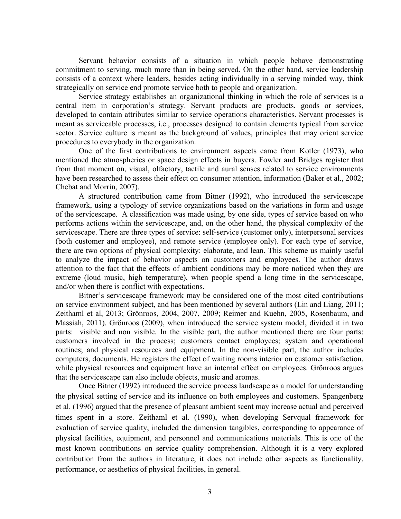Servant behavior consists of a situation in which people behave demonstrating commitment to serving, much more than in being served. On the other hand, service leadership consists of a context where leaders, besides acting individually in a serving minded way, think strategically on service end promote service both to people and organization.

Service strategy establishes an organizational thinking in which the role of services is a central item in corporation's strategy. Servant products are products, goods or services, developed to contain attributes similar to service operations characteristics. Servant processes is meant as serviceable processes, i.e., processes designed to contain elements typical from service sector. Service culture is meant as the background of values, principles that may orient service procedures to everybody in the organization.

One of the first contributions to environment aspects came from Kotler (1973), who mentioned the atmospherics or space design effects in buyers. Fowler and Bridges register that from that moment on, visual, olfactory, tactile and aural senses related to service environments have been researched to assess their effect on consumer attention, information (Baker et al., 2002; Chebat and Morrin, 2007).

A structured contribution came from Bitner (1992), who introduced the servicescape framework, using a typology of service organizations based on the variations in form and usage of the servicescape. A classification was made using, by one side, types of service based on who performs actions within the servicescape, and, on the other hand, the physical complexity of the servicescape. There are three types of service: self-service (customer only), interpersonal services (both customer and employee), and remote service (employee only). For each type of service, there are two options of physical complexity: elaborate, and lean. This scheme us mainly useful to analyze the impact of behavior aspects on customers and employees. The author draws attention to the fact that the effects of ambient conditions may be more noticed when they are extreme (loud music, high temperature), when people spend a long time in the servicescape, and/or when there is conflict with expectations.

Bitner's servicescape framework may be considered one of the most cited contributions on service environment subject, and has been mentioned by several authors (Lin and Liang, 2011; Zeithaml et al, 2013; Grönroos, 2004, 2007, 2009; Reimer and Kuehn, 2005, Rosenbaum, and Massiah, 2011). Grönroos (2009), when introduced the service system model, divided it in two parts: visible and non visible. In the visible part, the author mentioned there are four parts: customers involved in the process; customers contact employees; system and operational routines; and physical resources and equipment. In the non-visible part, the author includes computers, documents. He registers the effect of waiting rooms interior on customer satisfaction, while physical resources and equipment have an internal effect on employees. Grönroos argues that the servicescape can also include objects, music and aromas.

Once Bitner (1992) introduced the service process landscape as a model for understanding the physical setting of service and its influence on both employees and customers. Spangenberg et al. (1996) argued that the presence of pleasant ambient scent may increase actual and perceived times spent in a store. Zeithaml et al. (1990), when developing Servqual framework for evaluation of service quality, included the dimension tangibles, corresponding to appearance of physical facilities, equipment, and personnel and communications materials. This is one of the most known contributions on service quality comprehension. Although it is a very explored contribution from the authors in literature, it does not include other aspects as functionality, performance, or aesthetics of physical facilities, in general.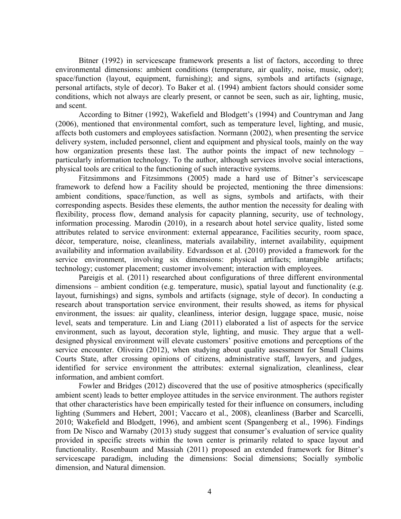Bitner (1992) in servicescape framework presents a list of factors, according to three environmental dimensions: ambient conditions (temperature, air quality, noise, music, odor); space/function (layout, equipment, furnishing); and signs, symbols and artifacts (signage, personal artifacts, style of decor). To Baker et al. (1994) ambient factors should consider some conditions, which not always are clearly present, or cannot be seen, such as air, lighting, music, and scent.

According to Bitner (1992), Wakefield and Blodgett's (1994) and Countryman and Jang (2006), mentioned that environmental comfort, such as temperature level, lighting, and music, affects both customers and employees satisfaction. Normann (2002), when presenting the service delivery system, included personnel, client and equipment and physical tools, mainly on the way how organization presents these last. The author points the impact of new technology – particularly information technology. To the author, although services involve social interactions, physical tools are critical to the functioning of such interactive systems.

Fitzsimmons and Fitzsimmons (2005) made a hard use of Bitner's servicescape framework to defend how a Facility should be projected, mentioning the three dimensions: ambient conditions, space/function, as well as signs, symbols and artifacts, with their corresponding aspects. Besides these elements, the author mention the necessity for dealing with flexibility, process flow, demand analysis for capacity planning, security, use of technology, information processing. Marodin (2010), in a research about hotel service quality, listed some attributes related to service environment: external appearance, Facilities security, room space, décor, temperature, noise, cleanliness, materials availability, internet availability, equipment availability and information availability. Edvardsson et al. (2010) provided a framework for the service environment, involving six dimensions: physical artifacts; intangible artifacts; technology; customer placement; customer involvement; interaction with employees.

Pareigis et al. (2011) researched about configurations of three different environmental dimensions – ambient condition (e.g. temperature, music), spatial layout and functionality (e.g. layout, furnishings) and signs, symbols and artifacts (signage, style of decor). In conducting a research about transportation service environment, their results showed, as items for physical environment, the issues: air quality, cleanliness, interior design, luggage space, music, noise level, seats and temperature. Lin and Liang (2011) elaborated a list of aspects for the service environment, such as layout, decoration style, lighting, and music. They argue that a welldesigned physical environment will elevate customers' positive emotions and perceptions of the service encounter. Oliveira (2012), when studying about quality assessment for Small Claims Courts State, after crossing opinions of citizens, administrative staff, lawyers, and judges, identified for service environment the attributes: external signalization, cleanliness, clear information, and ambient comfort.

Fowler and Bridges (2012) discovered that the use of positive atmospherics (specifically ambient scent) leads to better employee attitudes in the service environment. The authors register that other characteristics have been empirically tested for their influence on consumers, including lighting (Summers and Hebert, 2001; Vaccaro et al., 2008), cleanliness (Barber and Scarcelli, 2010; Wakefield and Blodgett, 1996), and ambient scent (Spangenberg et al., 1996). Findings from De Nisco and Warnaby (2013) study suggest that consumer's evaluation of service quality provided in specific streets within the town center is primarily related to space layout and functionality. Rosenbaum and Massiah (2011) proposed an extended framework for Bitner's servicescape paradigm, including the dimensions: Social dimensions; Socially symbolic dimension, and Natural dimension.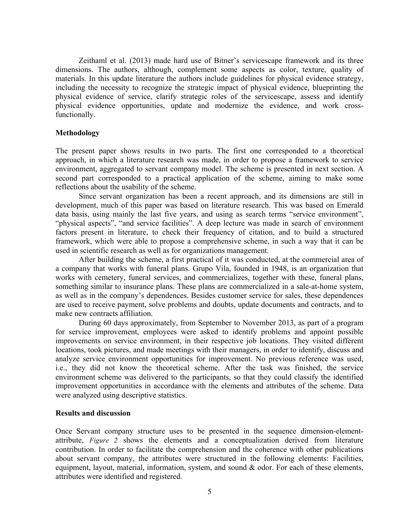Zeithaml et al. (2013) made hard use of Bitner's servicescape framework and its three dimensions. The authors, although, complement some aspects as color, texture, quality of materials. In this update literature the authors include guidelines for physical evidence strategy, including the necessity to recognize the strategic impact of physical evidence, blueprinting the physical evidence of service, clarify strategic roles of the servicescape, assess and identify physical evidence opportunities, update and modernize the evidence, and work crossfunctionally.

#### **Methodology**

The present paper shows results in two parts. The first one corresponded to a theoretical approach, in which a literature research was made, in order to propose a framework to service environment, aggregated to servant company model. The scheme is presented in next section. A second part corresponded to a practical application of the scheme, aiming to make some reflections about the usability of the scheme.

Since servant organization has been a recent approach, and its dimensions are still in development, much of this paper was based on literature research. This was based on Emerald data basis, using mainly the last five years, and using as search terms "service environment", "physical aspects", "and service facilities". A deep lecture was made in search of environment factors present in literature, to check their frequency of citation, and to build a structured framework, which were able to propose a comprehensive scheme, in such a way that it can be used in scientific research as well as for organizations management.

After building the scheme, a first practical of it was conducted, at the commercial area of a company that works with funeral plans. Grupo Vila, founded in 1948, is an organization that works with cemetery, funeral services, and commercializes, together with these, funeral plans, something similar to insurance plans. These plans are commercialized in a sale-at-home system, as well as in the company's dependences. Besides customer service for sales, these dependences are used to receive payment, solve problems and doubts, update documents and contracts, and to make new contracts affiliation.

During 60 days approximately, from September to November 2013, as part of a program for service improvement, employees were asked to identify problems and appoint possible improvements on service environment, in their respective job locations. They visited different locations, took pictures, and made meetings with their managers, in order to identify, discuss and analyze service environment opportunities for improvement. No previous reference was used, i.e., they did not know the theoretical scheme. After the task was finished, the service environment scheme was delivered to the participants, so that they could classify the identified improvement opportunities in accordance with the elements and attributes of the scheme. Data were analyzed using descriptive statistics.

#### **Results and discussion**

Once Servant company structure uses to be presented in the sequence dimension-elementattribute, *Figure 2* shows the elements and a conceptualization derived from literature contribution. In order to facilitate the comprehension and the coherence with other publications about servant company, the attributes were structured in the following elements: Facilities, equipment, layout, material, information, system, and sound & odor. For each of these elements, attributes were identified and registered.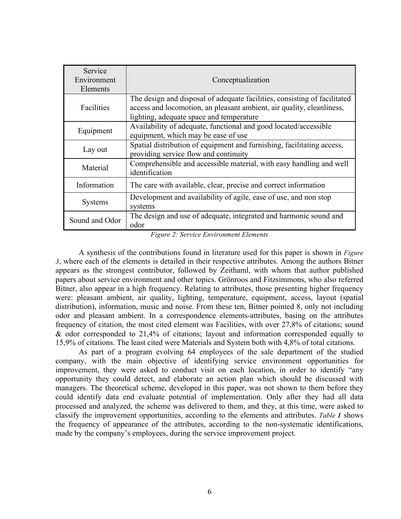| Service<br>Environment<br>Elements | Conceptualization                                                                                                                                                                              |  |  |
|------------------------------------|------------------------------------------------------------------------------------------------------------------------------------------------------------------------------------------------|--|--|
| Facilities                         | The design and disposal of adequate facilities, consisting of facilitated<br>access and locomotion, an pleasant ambient, air quality, cleanliness,<br>lighting, adequate space and temperature |  |  |
| Equipment                          | Availability of adequate, functional and good located/accessible<br>equipment, which may be ease of use                                                                                        |  |  |
| Lay out                            | Spatial distribution of equipment and furnishing, facilitating access,<br>providing service flow and continuity                                                                                |  |  |
| Material                           | Comprehensible and accessible material, with easy handling and well<br>identification                                                                                                          |  |  |
| Information                        | The care with available, clear, precise and correct information                                                                                                                                |  |  |
| <b>Systems</b>                     | Development and availability of agile, ease of use, and non stop<br>systems                                                                                                                    |  |  |
| Sound and Odor                     | The design and use of adequate, integrated and harmonic sound and<br>odor                                                                                                                      |  |  |

*Figure 2: Service Environment Elements*

A synthesis of the contributions found in literature used for this paper is shown in *Figure 3*, where each of the elements is detailed in their respective attributes. Among the authors Bitner appears as the strongest contributor, followed by Zeithaml, with whom that author published papers about service environment and other topics. Grönroos and Fitzsimmons, who also referred Bitner, also appear in a high frequency. Relating to attributes, those presenting higher frequency were: pleasant ambient, air quality, lighting, temperature, equipment, access, layout (spatial distribution), information, music and noise. From these ten, Bitner pointed 8, only not including odor and pleasant ambient. In a correspondence elements-attributes, basing on the attributes frequency of citation, the most cited element was Facilities, with over 27,8% of citations; sound & odor corresponded to 21,4% of citations; layout and information corresponded equally to 15,9% of citations. The least cited were Materials and System both with 4,8% of total citations.

As part of a program evolving 64 employees of the sale department of the studied company, with the main objective of identifying service environment opportunities for improvement, they were asked to conduct visit on each location, in order to identify "any opportunity they could detect, and elaborate an action plan which should be discussed with managers. The theoretical scheme, developed in this paper, was not shown to them before they could identify data end evaluate potential of implementation. Only after they had all data processed and analyzed, the scheme was delivered to them, and they, at this time, were asked to classify the improvement opportunities, according to the elements and attributes. *Table 1* shows the frequency of appearance of the attributes, according to the non-systematic identifications, made by the company's employees, during the service improvement project.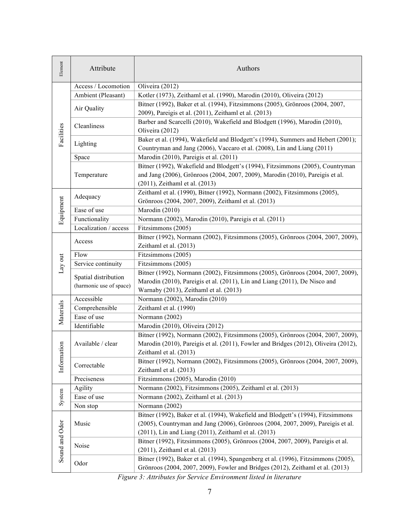| Element        | Attribute               | Authors                                                                                                              |
|----------------|-------------------------|----------------------------------------------------------------------------------------------------------------------|
|                | Access / Locomotion     | Oliveira (2012)                                                                                                      |
|                | Ambient (Pleasant)      | Kotler (1973), Zeithaml et al. (1990), Marodin (2010), Oliveira (2012)                                               |
|                | Air Quality             | Bitner (1992), Baker et al. (1994), Fitzsimmons (2005), Grönroos (2004, 2007,                                        |
| Facilities     |                         | 2009), Pareigis et al. (2011), Zeithaml et al. (2013)                                                                |
|                | Cleanliness             | Barber and Scarcelli (2010), Wakefield and Blodgett (1996), Marodin (2010),                                          |
|                |                         | Oliveira (2012)                                                                                                      |
|                | Lighting                | Baker et al. (1994), Wakefield and Blodgett's (1994), Summers and Hebert (2001);                                     |
|                |                         | Countryman and Jang (2006), Vaccaro et al. (2008), Lin and Liang (2011)                                              |
|                | Space                   | Marodin (2010), Pareigis et al. (2011)                                                                               |
|                |                         | Bitner (1992), Wakefield and Blodgett's (1994), Fitzsimmons (2005), Countryman                                       |
|                | Temperature             | and Jang (2006), Grönroos (2004, 2007, 2009), Marodin (2010), Pareigis et al.                                        |
|                |                         | (2011), Zeithaml et al. (2013)                                                                                       |
|                | Adequacy                | Zeithaml et al. (1990), Bitner (1992), Normann (2002), Fitzsimmons (2005),                                           |
| Equipment      |                         | Grönroos (2004, 2007, 2009), Zeithaml et al. (2013)                                                                  |
|                | Ease of use             | Marodin (2010)                                                                                                       |
|                | Functionality           | Normann (2002), Marodin (2010), Pareigis et al. (2011)                                                               |
|                | Localization / access   | Fitzsimmons (2005)                                                                                                   |
|                | Access                  | Bitner (1992), Normann (2002), Fitzsimmons (2005), Grönroos (2004, 2007, 2009),                                      |
|                |                         | Zeithaml et al. (2013)                                                                                               |
| Lay out        | Flow                    | Fitzsimmons (2005)                                                                                                   |
|                | Service continuity      | Fitzsimmons (2005)                                                                                                   |
|                | Spatial distribution    | Bitner (1992), Normann (2002), Fitzsimmons (2005), Grönroos (2004, 2007, 2009),                                      |
|                | (harmonic use of space) | Marodin (2010), Pareigis et al. (2011), Lin and Liang (2011), De Nisco and<br>Warnaby (2013), Zeithaml et al. (2013) |
|                | Accessible              | Normann (2002), Marodin (2010)                                                                                       |
|                | Comprehensible          | Zeithaml et al. (1990)                                                                                               |
| Materials      | Ease of use             | Normann (2002)                                                                                                       |
|                | Identifiable            | Marodin (2010), Oliveira (2012)                                                                                      |
|                |                         |                                                                                                                      |
|                | Available / clear       | Bitner (1992), Normann (2002), Fitzsimmons (2005), Grönroos (2004, 2007, 2009),                                      |
|                |                         | Marodin (2010), Pareigis et al. (2011), Fowler and Bridges (2012), Oliveira (2012),<br>Zeithaml et al. (2013)        |
| Information    |                         | Bitner (1992), Normann (2002), Fitzsimmons (2005), Grönroos (2004, 2007, 2009),                                      |
|                | Correctable             | Zeithaml et al. (2013)                                                                                               |
|                | Preciseness             | Fitzsimmons (2005), Marodin (2010)                                                                                   |
| System         | Agility                 | Normann (2002), Fitzsimmons (2005), Zeithaml et al. (2013)                                                           |
|                | Ease of use             | Normann (2002), Zeithaml et al. (2013)                                                                               |
|                |                         | Normann (2002)                                                                                                       |
| Sound and Odor | Non stop                | Bitner (1992), Baker et al. (1994), Wakefield and Blodgett's (1994), Fitzsimmons                                     |
|                | Music                   | (2005), Countryman and Jang (2006), Grönroos (2004, 2007, 2009), Pareigis et al.                                     |
|                |                         | (2011), Lin and Liang (2011), Zeithaml et al. (2013)                                                                 |
|                |                         | Bitner (1992), Fitzsimmons (2005), Grönroos (2004, 2007, 2009), Pareigis et al.                                      |
|                | Noise                   | (2011), Zeithaml et al. (2013)                                                                                       |
|                |                         | Bitner (1992), Baker et al. (1994), Spangenberg et al. (1996), Fitzsimmons (2005),                                   |
|                | Odor                    | Grönroos (2004, 2007, 2009), Fowler and Bridges (2012), Zeithaml et al. (2013)                                       |
|                |                         |                                                                                                                      |

*Figure 3: Attributes for Service Environment listed in literature*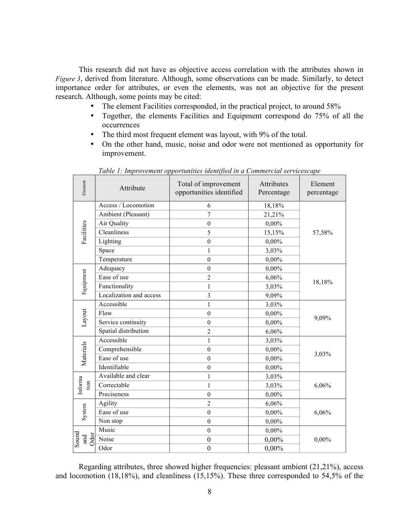This research did not have as objective access correlation with the attributes shown in *Figure 3*, derived from literature. Although, some observations can be made. Similarly, to detect importance order for attributes, or even the elements, was not an objective for the present research. Although, some points may be cited:

- The element Facilities corresponded, in the practical project, to around 58%
- Together, the elements Facilities and Equipment correspond do 75% of all the occurrences
- The third most frequent element was layout, with 9% of the total.
- On the other hand, music, noise and odor were not mentioned as opportunity for improvement.

| Element                     | Attribute               | Total of improvement<br>opportunities identified | Attributes<br>Percentage | Element<br>percentage |  |
|-----------------------------|-------------------------|--------------------------------------------------|--------------------------|-----------------------|--|
| Facilities                  | Access / Locomotion     | 6                                                | 18,18%                   |                       |  |
|                             | Ambient (Pleasant)      | $\overline{7}$                                   | 21,21%                   |                       |  |
|                             | Air Quality             | $\boldsymbol{0}$                                 | 0,00%                    | 57,58%                |  |
|                             | Cleanliness             | 5                                                | 15,15%                   |                       |  |
|                             | Lighting                | $\boldsymbol{0}$                                 | $0,00\%$                 |                       |  |
|                             | Space                   | 1                                                | 3,03%                    |                       |  |
|                             | Temperature             | $\boldsymbol{0}$                                 | $0,00\%$                 |                       |  |
|                             | Adequacy                | $\boldsymbol{0}$                                 | $0,00\%$                 | 18,18%                |  |
| Equipment                   | Ease of use             | $\overline{2}$                                   | 6,06%                    |                       |  |
|                             | Functionality           | 1                                                | 3,03%                    |                       |  |
|                             | Localization and access | $\overline{3}$                                   | 9,09%                    |                       |  |
|                             | Accessible              | 1                                                | 3,03%                    | 9,09%                 |  |
| Layout                      | Flow                    | $\boldsymbol{0}$                                 | 0,00%                    |                       |  |
|                             | Service continuity      | $\boldsymbol{0}$                                 | $0,00\%$                 |                       |  |
|                             | Spatial distribution    | $\overline{2}$                                   | 6,06%                    |                       |  |
|                             | Accessible              | 1                                                | 3,03%                    |                       |  |
|                             | Comprehensible          | $\boldsymbol{0}$                                 | 0,00%                    |                       |  |
| Materials                   | Ease of use             | $\mathbf{0}$                                     | $0,00\%$                 | 3,03%                 |  |
|                             | Identifiable            | $\boldsymbol{0}$                                 | $0,00\%$                 |                       |  |
| Informa<br>tion             | Available and clear     | 1                                                | 3,03%                    |                       |  |
|                             | Correctable             | 1                                                | 3,03%                    | 6,06%                 |  |
|                             | Preciseness             | $\boldsymbol{0}$                                 | $0,00\%$                 |                       |  |
|                             | Agility                 | $\overline{2}$                                   | 6,06%                    | 6,06%                 |  |
| System                      | Ease of use             | $\boldsymbol{0}$                                 | 0,00%                    |                       |  |
|                             | Non stop                | $\boldsymbol{0}$                                 | $0,00\%$                 |                       |  |
| Sound<br><b>Odor</b><br>and | Music                   | $\boldsymbol{0}$                                 | $0,00\%$                 | $0,00\%$              |  |
|                             | Noise                   | $\boldsymbol{0}$                                 | 0,00%                    |                       |  |
|                             | Odor                    | $\boldsymbol{0}$                                 | 0,00%                    |                       |  |

*Table 1: Improvement opportunities identified in a Commercial servicescape*

Regarding attributes, three showed higher frequencies: pleasant ambient (21,21%), access and locomotion (18,18%), and cleanliness (15,15%). These three corresponded to 54,5% of the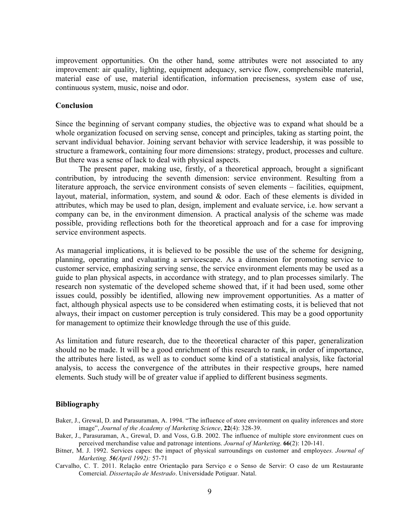improvement opportunities. On the other hand, some attributes were not associated to any improvement: air quality, lighting, equipment adequacy, service flow, comprehensible material, material ease of use, material identification, information preciseness, system ease of use, continuous system, music, noise and odor.

#### **Conclusion**

Since the beginning of servant company studies, the objective was to expand what should be a whole organization focused on serving sense, concept and principles, taking as starting point, the servant individual behavior. Joining servant behavior with service leadership, it was possible to structure a framework, containing four more dimensions: strategy, product, processes and culture. But there was a sense of lack to deal with physical aspects.

The present paper, making use, firstly, of a theoretical approach, brought a significant contribution, by introducing the seventh dimension: service environment. Resulting from a literature approach, the service environment consists of seven elements – facilities, equipment, layout, material, information, system, and sound & odor. Each of these elements is divided in attributes, which may be used to plan, design, implement and evaluate service, i.e. how servant a company can be, in the environment dimension. A practical analysis of the scheme was made possible, providing reflections both for the theoretical approach and for a case for improving service environment aspects.

As managerial implications, it is believed to be possible the use of the scheme for designing, planning, operating and evaluating a servicescape. As a dimension for promoting service to customer service, emphasizing serving sense, the service environment elements may be used as a guide to plan physical aspects, in accordance with strategy, and to plan processes similarly. The research non systematic of the developed scheme showed that, if it had been used, some other issues could, possibly be identified, allowing new improvement opportunities. As a matter of fact, although physical aspects use to be considered when estimating costs, it is believed that not always, their impact on customer perception is truly considered. This may be a good opportunity for management to optimize their knowledge through the use of this guide.

As limitation and future research, due to the theoretical character of this paper, generalization should no be made. It will be a good enrichment of this research to rank, in order of importance, the attributes here listed, as well as to conduct some kind of a statistical analysis, like factorial analysis, to access the convergence of the attributes in their respective groups, here named elements. Such study will be of greater value if applied to different business segments.

## **Bibliography**

- Baker, J., Grewal, D. and Parasuraman, A. 1994. "The influence of store environment on quality inferences and store image", *Journal of the Academy of Marketing Science*, **22**(4): 328-39.
- Baker, J., Parasuraman, A., Grewal, D. and Voss, G.B. 2002. The influence of multiple store environment cues on perceived merchandise value and patronage intentions. *Journal of Marketing*. **66**(2): 120-141.
- Bitner, M. J. 1992. Services capes: the impact of physical surroundings on customer and employe*es. Journal of Marketing. 56(April 1992):* 57-71
- Carvalho, C. T. 2011. Relação entre Orientação para Serviço e o Senso de Servir: O caso de um Restaurante Comercial. *Dissertação de Mestrado*. Universidade Potiguar. Natal.